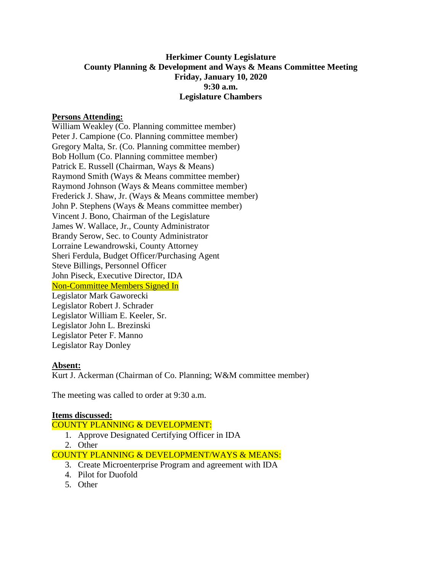# **Herkimer County Legislature County Planning & Development and Ways & Means Committee Meeting Friday, January 10, 2020 9:30 a.m. Legislature Chambers**

### **Persons Attending:**

William Weakley (Co. Planning committee member) Peter J. Campione (Co. Planning committee member) Gregory Malta, Sr. (Co. Planning committee member) Bob Hollum (Co. Planning committee member) Patrick E. Russell (Chairman, Ways & Means) Raymond Smith (Ways & Means committee member) Raymond Johnson (Ways & Means committee member) Frederick J. Shaw, Jr. (Ways & Means committee member) John P. Stephens (Ways & Means committee member) Vincent J. Bono, Chairman of the Legislature James W. Wallace, Jr., County Administrator Brandy Serow, Sec. to County Administrator Lorraine Lewandrowski, County Attorney Sheri Ferdula, Budget Officer/Purchasing Agent Steve Billings, Personnel Officer John Piseck, Executive Director, IDA Non-Committee Members Signed In Legislator Mark Gaworecki Legislator Robert J. Schrader Legislator William E. Keeler, Sr. Legislator John L. Brezinski Legislator Peter F. Manno Legislator Ray Donley

### **Absent:**

Kurt J. Ackerman (Chairman of Co. Planning; W&M committee member)

The meeting was called to order at 9:30 a.m.

#### **Items discussed:**

COUNTY PLANNING & DEVELOPMENT:

- 1. Approve Designated Certifying Officer in IDA
- 2. Other

COUNTY PLANNING & DEVELOPMENT/WAYS & MEANS:

- 3. Create Microenterprise Program and agreement with IDA
- 4. Pilot for Duofold
- 5. Other